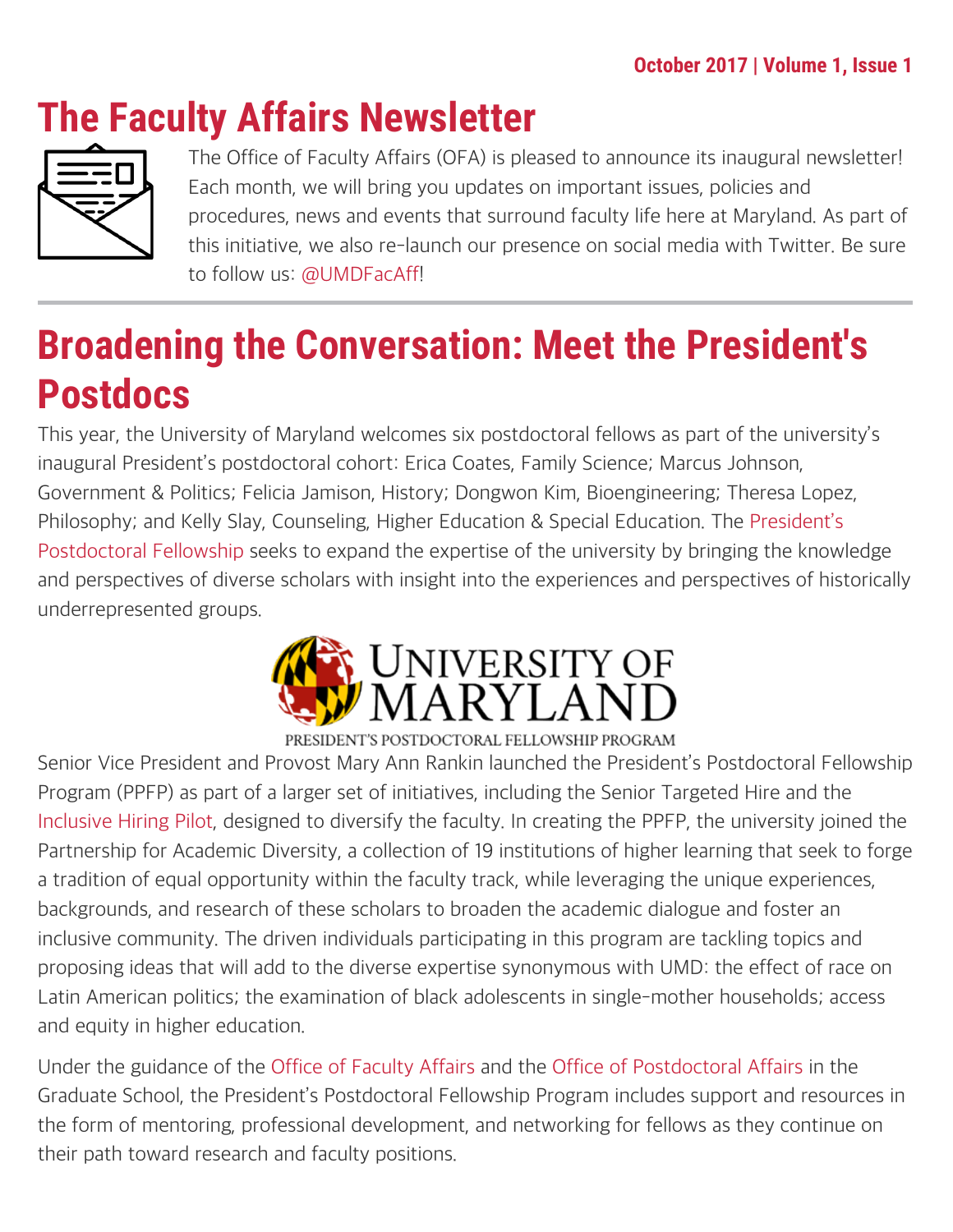# **The Faculty Affairs Newsletter**



The Office of Faculty Affairs (OFA) is pleased to announce its inaugural newsletter! Each month, we will bring you updates on important issues, policies and procedures, news and events that surround faculty life here at Maryland. As part of this initiative, we also re-launch our presence on social media with Twitter. Be sure to follow us: [@UMDFacAff](https://twitter.com/UMDFacAff)!

# **Broadening the Conversation: Meet the President's Postdocs**

This year, the University of Maryland welcomes six postdoctoral fellows as part of the university's inaugural President's postdoctoral cohort: Erica Coates, Family Science; Marcus Johnson, Government & Politics; Felicia Jamison, History; Dongwon Kim, Bioengineering; Theresa Lopez, Philosophy; and Kelly Slay, Counseling, Higher Education & Special Education. The [President's](https://faculty.umd.edu/presidentspostdoc/) [Postdoctoral Fellowship](https://faculty.umd.edu/presidentspostdoc/) seeks to expand the expertise of the university by bringing the knowledge and perspectives of diverse scholars with insight into the experiences and perspectives of historically underrepresented groups.



Senior Vice President and Provost Mary Ann Rankin launched the President's Postdoctoral Fellowship Program (PPFP) as part of a larger set of initiatives, including the Senior Targeted Hire and the [Inclusive Hiring Pilot,](https://faculty.umd.edu/appointment/hiring.html) designed to diversify the faculty. In creating the PPFP, the university joined the Partnership for Academic Diversity, a collection of 19 institutions of higher learning that seek to forge a tradition of equal opportunity within the faculty track, while leveraging the unique experiences, backgrounds, and research of these scholars to broaden the academic dialogue and foster an inclusive community. The driven individuals participating in this program are tackling topics and proposing ideas that will add to the diverse expertise synonymous with UMD: the effect of race on Latin American politics; the examination of black adolescents in single-mother households; access and equity in higher education.

Under the guidance of the [Office of Faculty Affairs](https://faculty.umd.edu/) and the [Office of Postdoctoral Affairs](https://www.gradschool.umd.edu/postdocs) in the Graduate School, the President's Postdoctoral Fellowship Program includes support and resources in the form of mentoring, professional development, and networking for fellows as they continue on their path toward research and faculty positions.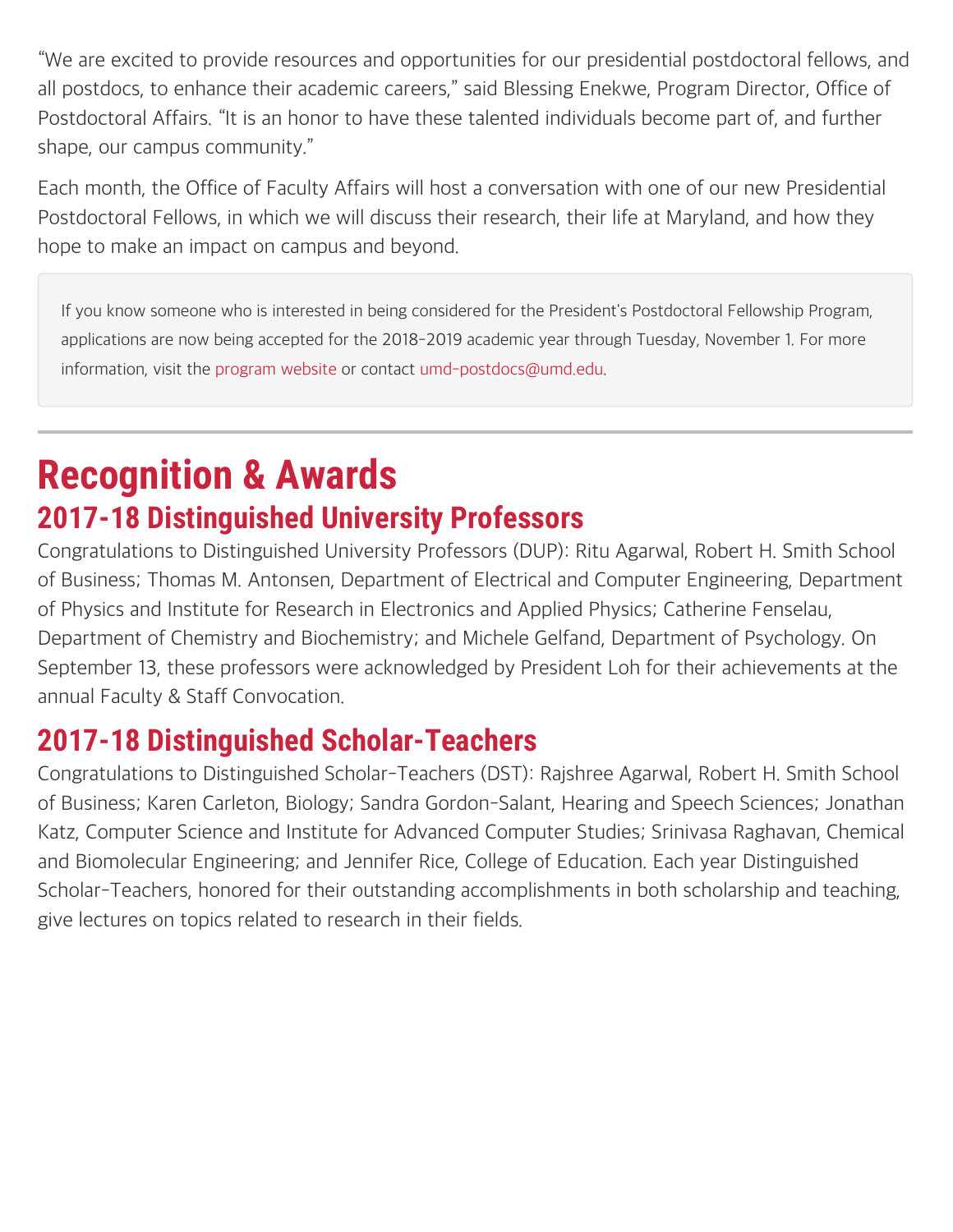"We are excited to provide resources and opportunities for our presidential postdoctoral fellows, and all postdocs, to enhance their academic careers," said Blessing Enekwe, Program Director, Office of Postdoctoral Affairs. "It is an honor to have these talented individuals become part of, and further shape, our campus community."

Each month, the Office of Faculty Affairs will host a conversation with one of our new Presidential Postdoctoral Fellows, in which we will discuss their research, their life at Maryland, and how they hope to make an impact on campus and beyond.

If you know someone who is interested in being considered for the President's Postdoctoral Fellowship Program, applications are now being accepted for the 2018-2019 academic year through Tuesday, November 1. For more information, visit the [program website](https://faculty.umd.edu/presidentspostdoc/) or contact [umd-postdocs@umd.edu.](mailto:umd-postdocs@umd.edu)

## **Recognition & Awards 2017-18 Distinguished University Professors**

Congratulations to Distinguished University Professors (DUP): Ritu Agarwal, Robert H. Smith School of Business; Thomas M. Antonsen, Department of Electrical and Computer Engineering, Department of Physics and Institute for Research in Electronics and Applied Physics; Catherine Fenselau, Department of Chemistry and Biochemistry; and Michele Gelfand, Department of Psychology. On September 13, these professors were acknowledged by President Loh for their achievements at the annual Faculty & Staff Convocation.

### **2017-18 Distinguished Scholar-Teachers**

Congratulations to Distinguished Scholar-Teachers (DST): Rajshree Agarwal, Robert H. Smith School of Business; Karen Carleton, Biology; Sandra Gordon-Salant, Hearing and Speech Sciences; Jonathan Katz, Computer Science and Institute for Advanced Computer Studies; Srinivasa Raghavan, Chemical and Biomolecular Engineering; and Jennifer Rice, College of Education. Each year Distinguished Scholar-Teachers, honored for their outstanding accomplishments in both scholarship and teaching, give lectures on topics related to research in their fields.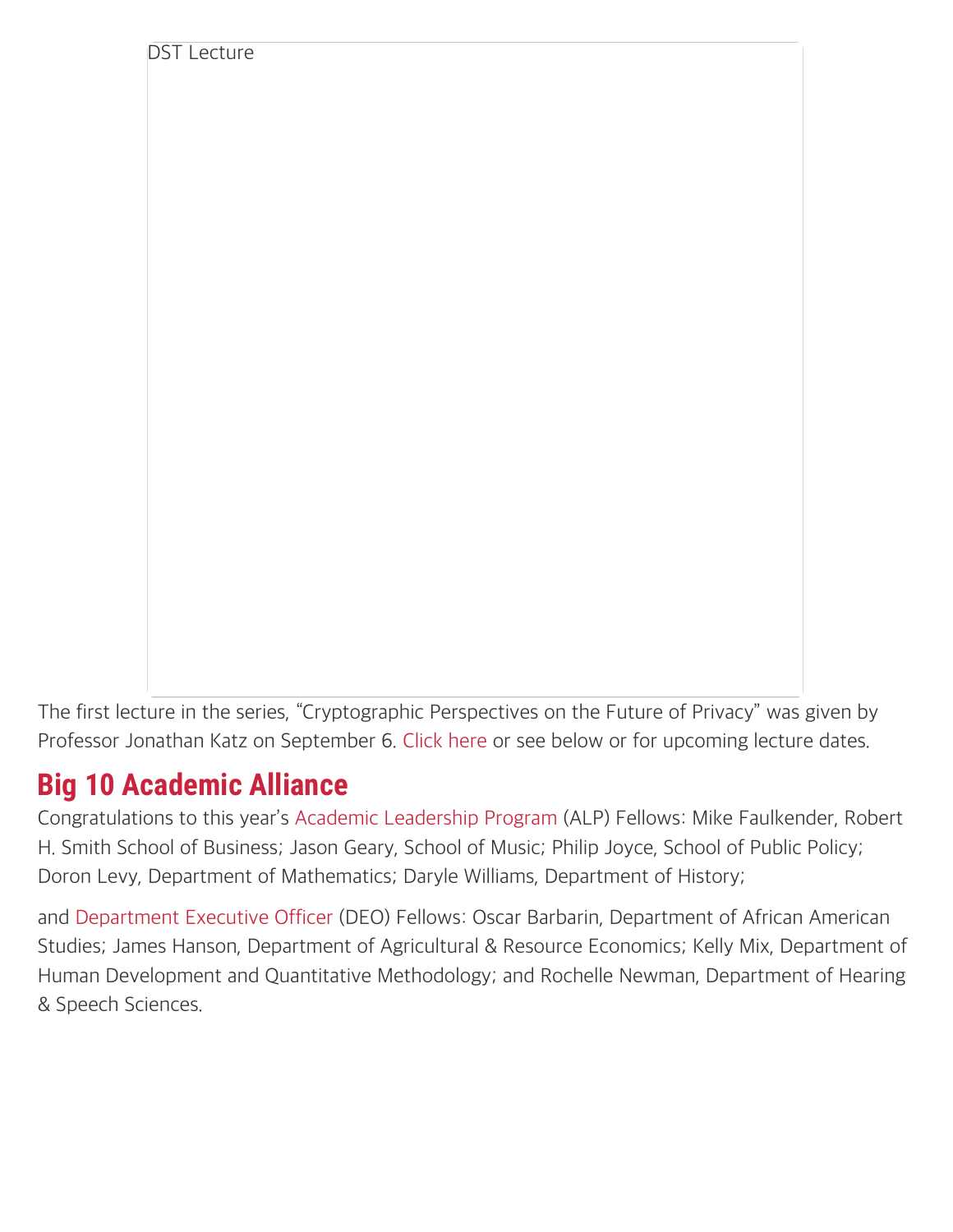The first lecture in the series, "Cryptographic Perspectives on the Future of Privacy" was given by Professor Jonathan Katz on September 6. [Click here](https://faculty.umd.edu/awards/sched_dst.html) or see below or for upcoming lecture dates.

### **Big 10 Academic Alliance**

DST Lecture

Congratulations to this year's [Academic Leadership Program](https://faculty.umd.edu/awards/list_alf.html) (ALP) Fellows: Mike Faulkender, Robert H. Smith School of Business; Jason Geary, School of Music; Philip Joyce, School of Public Policy; Doron Levy, Department of Mathematics; Daryle Williams, Department of History;

and [Department Executive Officer](https://faculty.umd.edu/awards/list_deo.html) (DEO) Fellows: Oscar Barbarin, Department of African American Studies; James Hanson, Department of Agricultural & Resource Economics; Kelly Mix, Department of Human Development and Quantitative Methodology; and Rochelle Newman, Department of Hearing & Speech Sciences.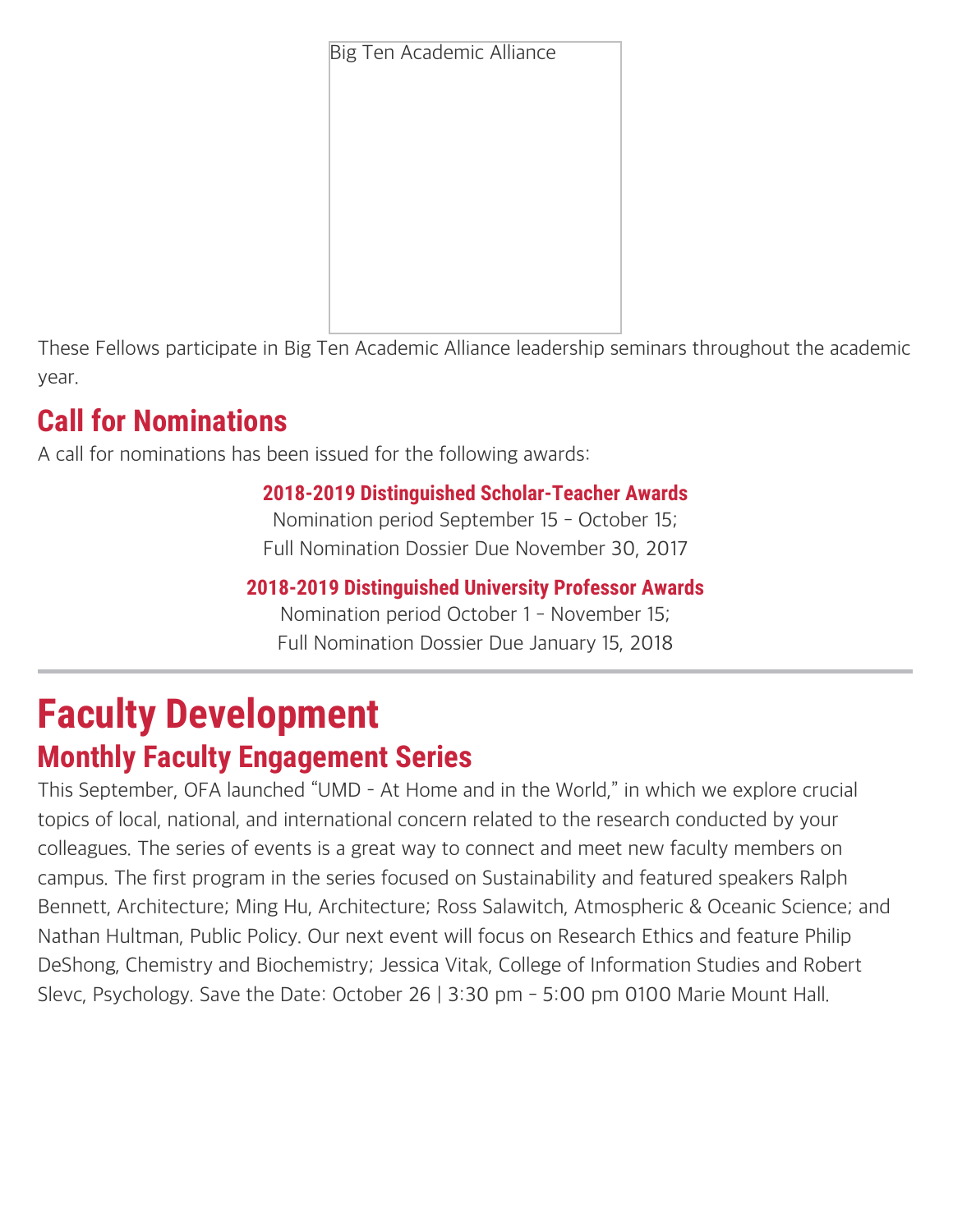Big Ten Academic Alliance



These Fellows participate in Big Ten Academic Alliance leadership seminars throughout the academic year.

## **Call for Nominations**

A call for nominations has been issued for the following awards:

#### **2018-2019 Distinguished Scholar-Teacher Awards**

Nomination period September 15 - October 15; Full Nomination Dossier Due November 30, 2017

#### **2018-2019 Distinguished University Professor Awards**

Nomination period October 1 - November 15; Full Nomination Dossier Due January 15, 2018

## **Faculty Development Monthly Faculty Engagement Series**

This September, OFA launched "UMD – At Home and in the World," in which we explore crucial topics of local, national, and international concern related to the research conducted by your colleagues. The series of events is a great way to connect and meet new faculty members on campus. The first program in the series focused on Sustainability and featured speakers Ralph Bennett, Architecture; Ming Hu, Architecture; Ross Salawitch, Atmospheric & Oceanic Science; and Nathan Hultman, Public Policy. Our next event will focus on Research Ethics and feature Philip DeShong, Chemistry and Biochemistry; Jessica Vitak, College of Information Studies and Robert Slevc, Psychology. Save the Date: October 26 | 3:30 pm - 5:00 pm 0100 Marie Mount Hall.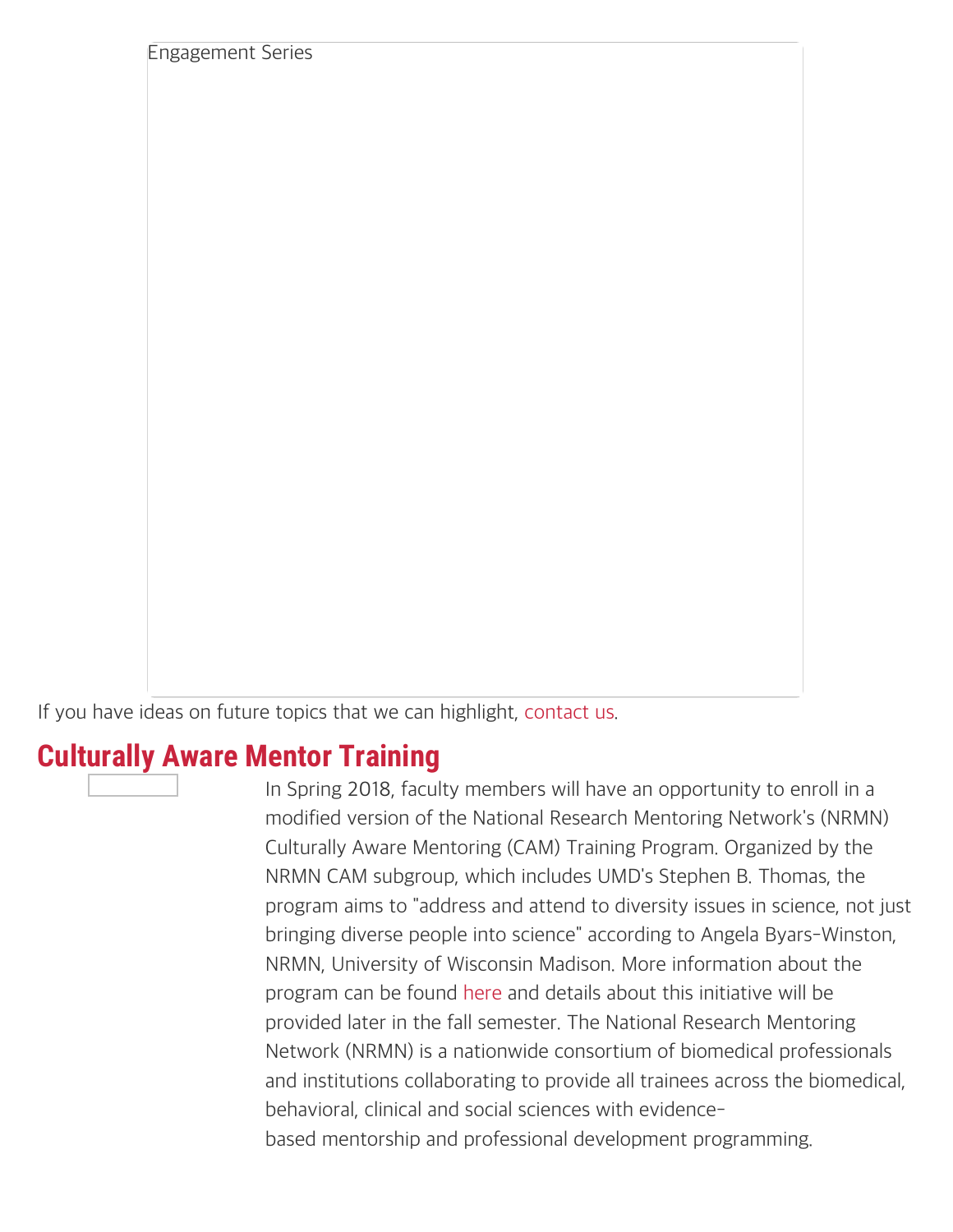If you have ideas on future topics that we can highlight, [contact us.](mailto:faculty@umd.edu)

#### **Culturally Aware Mentor Training**

Engagement Series

In Spring 2018, faculty members will have an opportunity to enroll in a modified version of the National Research Mentoring Network's (NRMN) Culturally Aware Mentoring (CAM) Training Program. Organized by the NRMN CAM subgroup, which includes UMD's Stephen B. Thomas, the program aims to "address and attend to diversity issues in science, not just bringing diverse people into science" according to Angela Byars-Winston, NRMN, University of Wisconsin Madison. More information about the program can be found [here](https://nrmnet.net/culturally-aware-mentoring-a-new-mentor-training-module/#) and details about this initiative will be provided later in the fall semester. The National Research Mentoring Network (NRMN) is a nationwide consortium of biomedical professionals and institutions collaborating to provide all trainees across the biomedical, behavioral, clinical and social sciences with evidencebased mentorship and professional development programming.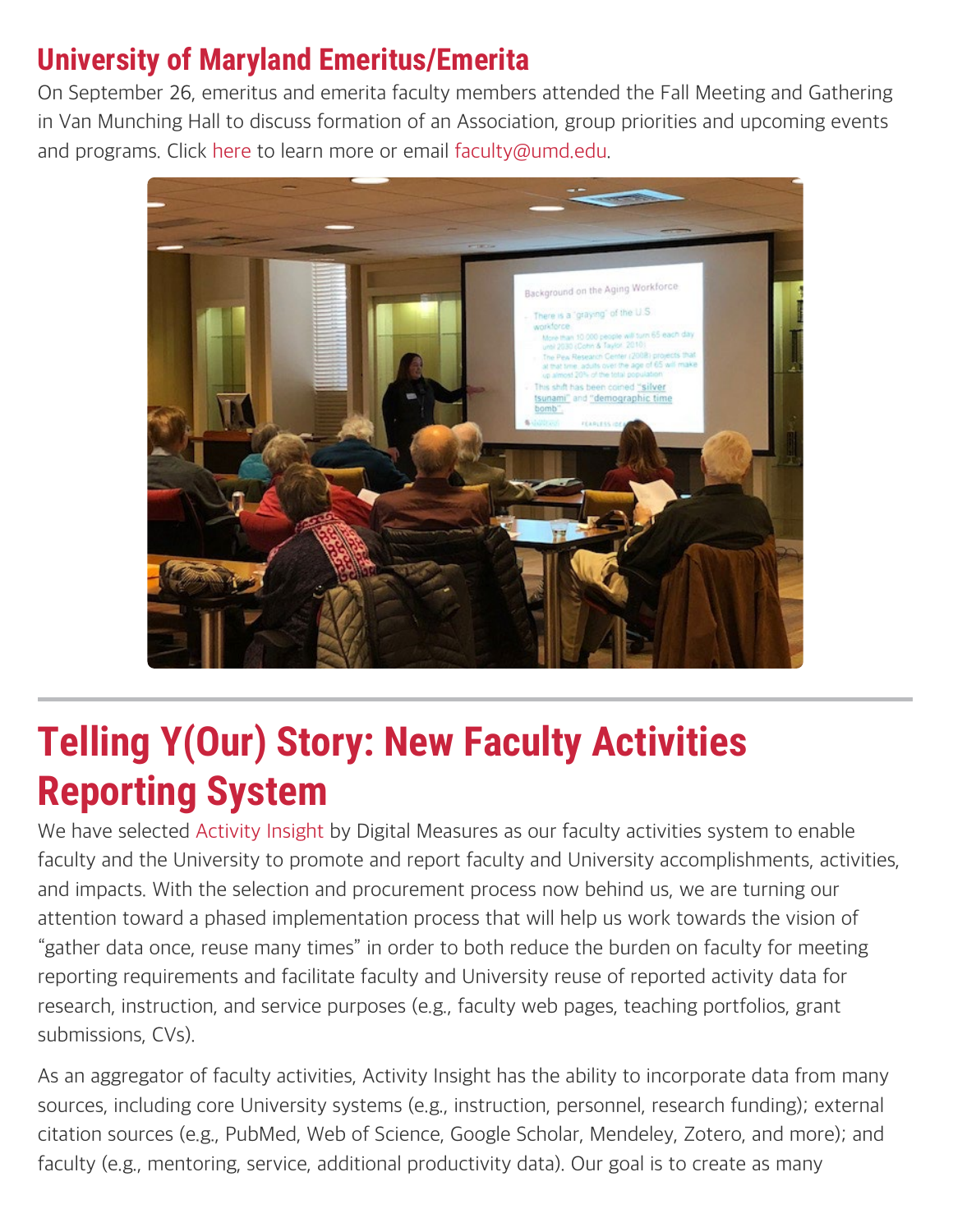### **University of Maryland Emeritus/Emerita**

On September 26, emeritus and emerita faculty members attended the Fall Meeting and Gathering in Van Munching Hall to discuss formation of an Association, group priorities and upcoming events and programs. Click [here](https://faculty.umd.edu/emeriti/) to learn more or email [faculty@umd.edu](mailto:faculty@umd.edu).



## **Telling Y(Our) Story: New Faculty Activities Reporting System**

We have selected [Activity Insight](https://digitalmeasures.com/) by Digital Measures as our faculty activities system to enable faculty and the University to promote and report faculty and University accomplishments, activities, and impacts. With the selection and procurement process now behind us, we are turning our attention toward a phased implementation process that will help us work towards the vision of "gather data once, reuse many times" in order to both reduce the burden on faculty for meeting reporting requirements and facilitate faculty and University reuse of reported activity data for research, instruction, and service purposes (e.g., faculty web pages, teaching portfolios, grant submissions, CVs).

As an aggregator of faculty activities, Activity Insight has the ability to incorporate data from many sources, including core University systems (e.g., instruction, personnel, research funding); external citation sources (e.g., PubMed, Web of Science, Google Scholar, Mendeley, Zotero, and more); and faculty (e.g., mentoring, service, additional productivity data). Our goal is to create as many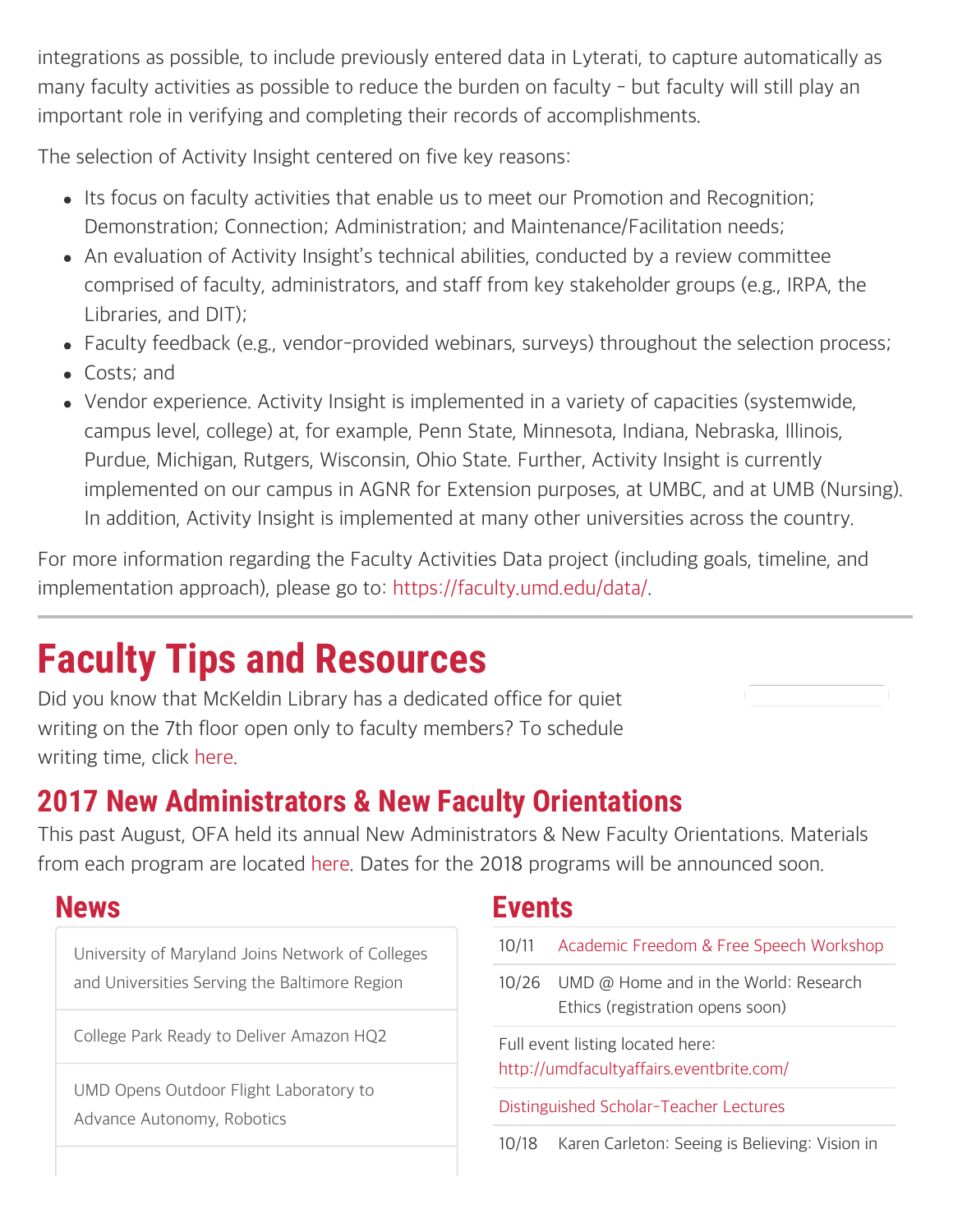integrations as possible, to include previously entered data in Lyterati, to capture automatically as many faculty activities as possible to reduce the burden on faculty - but faculty will still play an important role in verifying and completing their records of accomplishments.

The selection of Activity Insight centered on five key reasons:

- Its focus on faculty activities that enable us to meet our Promotion and Recognition; Demonstration; Connection; Administration; and Maintenance/Facilitation needs;
- An evaluation of Activity Insight's technical abilities, conducted by a review committee comprised of faculty, administrators, and staff from key stakeholder groups (e.g., IRPA, the Libraries, and DIT);
- Faculty feedback (e.g., vendor-provided webinars, surveys) throughout the selection process;
- Costs; and
- Vendor experience. Activity Insight is implemented in a variety of capacities (systemwide, campus level, college) at, for example, Penn State, Minnesota, Indiana, Nebraska, Illinois, Purdue, Michigan, Rutgers, Wisconsin, Ohio State. Further, Activity Insight is currently implemented on our campus in AGNR for Extension purposes, at UMBC, and at UMB (Nursing). In addition, Activity Insight is implemented at many other universities across the country.

For more information regarding the Faculty Activities Data project (including goals, timeline, and implementation approach), please go to:<https://faculty.umd.edu/data/>.

# **Faculty Tips and Resources**

Did you know that McKeldin Library has a dedicated office for quiet writing on the 7th floor open only to faculty members? To schedule writing time, click [here](http://umd.libcal.com/booking/researchcommons).

## **2017 New Administrators & New Faculty Orientations**

This past August, OFA held its annual New Administrators & New Faculty Orientations. Materials from each program are located [here.](https://faculty.umd.edu/orientation/index.html) Dates for the 2018 programs will be announced soon.

### **News**

[University of Maryland Joins Network of Colleges](https://umdrightnow.umd.edu/news/university-maryland-joins-network-colleges-and-universities-serving-baltimore-region) [and Universities Serving the Baltimore Region](https://umdrightnow.umd.edu/news/university-maryland-joins-network-colleges-and-universities-serving-baltimore-region)

[College Park Ready to Deliver Amazon HQ2](https://umdrightnow.umd.edu/news/college-park-ready-deliver-amazon-hq2)

[UMD Opens Outdoor Flight Laboratory to](https://www.umdrightnow.umd.edu/news/umd-opens-outdoor-flight-laboratory-advance-autonomy-robotics) [Advance Autonomy, Robotics](https://www.umdrightnow.umd.edu/news/umd-opens-outdoor-flight-laboratory-advance-autonomy-robotics)

### **Events**

- 10/11 [Academic Freedom & Free Speech Workshop](https://umdacademicfreedom.eventbrite.com/)
- 10/26 UMD @ Home and in the World: Research Ethics (registration opens soon)

Full event listing located here: <http://umdfacultyaffairs.eventbrite.com/>

[Distinguished Scholar-Teacher Lectures](https://faculty.umd.edu/awards/sched_dst.html)

10/18 Karen Carleton: Seeing is Believing: Vision in